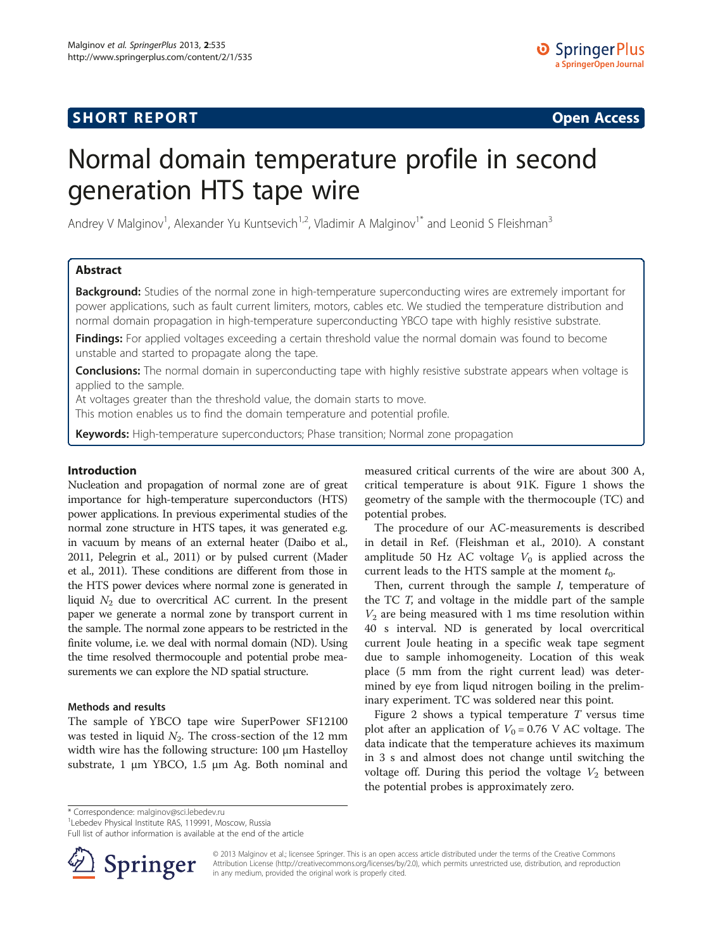## **SHORT REPORT SHORT CONSTRUCTED AT A SEXUAL CONSTRUCT OF A SEXUAL CONSTRUCTION OPEN Access**

# Normal domain temperature profile in second generation HTS tape wire

Andrey V Malginov<sup>1</sup>, Alexander Yu Kuntsevich<sup>1,2</sup>, Vladimir A Malginov<sup>1\*</sup> and Leonid S Fleishman<sup>3</sup>

## Abstract

Background: Studies of the normal zone in high-temperature superconducting wires are extremely important for power applications, such as fault current limiters, motors, cables etc. We studied the temperature distribution and normal domain propagation in high-temperature superconducting YBCO tape with highly resistive substrate.

Findings: For applied voltages exceeding a certain threshold value the normal domain was found to become unstable and started to propagate along the tape.

**Conclusions:** The normal domain in superconducting tape with highly resistive substrate appears when voltage is applied to the sample.

At voltages greater than the threshold value, the domain starts to move.

This motion enables us to find the domain temperature and potential profile.

Keywords: High-temperature superconductors; Phase transition; Normal zone propagation

### Introduction

Nucleation and propagation of normal zone are of great importance for high-temperature superconductors (HTS) power applications. In previous experimental studies of the normal zone structure in HTS tapes, it was generated e.g. in vacuum by means of an external heater (Daibo et al., [2011,](#page-2-0) Pelegrin et al., [2011](#page-2-0)) or by pulsed current (Mader et al., [2011](#page-2-0)). These conditions are different from those in the HTS power devices where normal zone is generated in liquid  $N_2$  due to overcritical AC current. In the present paper we generate a normal zone by transport current in the sample. The normal zone appears to be restricted in the finite volume, i.e. we deal with normal domain (ND). Using the time resolved thermocouple and potential probe measurements we can explore the ND spatial structure.

#### Methods and results

The sample of YBCO tape wire SuperPower SF12100 was tested in liquid  $N_2$ . The cross-section of the 12 mm width wire has the following structure: 100 μm Hastelloy substrate, 1 μm YBCO, 1.5 μm Ag. Both nominal and measured critical currents of the wire are about 300 A, critical temperature is about 91K. Figure [1](#page-1-0) shows the geometry of the sample with the thermocouple (TC) and potential probes.

The procedure of our AC-measurements is described in detail in Ref. (Fleishman et al., [2010](#page-2-0)). A constant amplitude 50 Hz AC voltage  $V_0$  is applied across the current leads to the HTS sample at the moment  $t_0$ .

Then, current through the sample I, temperature of the TC T, and voltage in the middle part of the sample  $V_2$  are being measured with 1 ms time resolution within 40 s interval. ND is generated by local overcritical current Joule heating in a specific weak tape segment due to sample inhomogeneity. Location of this weak place (5 mm from the right current lead) was determined by eye from liqud nitrogen boiling in the preliminary experiment. TC was soldered near this point.

Figure [2](#page-1-0) shows a typical temperature  $T$  versus time plot after an application of  $V_0 = 0.76$  V AC voltage. The data indicate that the temperature achieves its maximum in 3 s and almost does not change until switching the voltage off. During this period the voltage  $V_2$  between the potential probes is approximately zero.

\* Correspondence: [malginov@sci.lebedev.ru](mailto:malginov@sci.lebedev.ru) <sup>1</sup>

<sup>1</sup> Lebedev Physical Institute RAS, 119991, Moscow, Russia

Full list of author information is available at the end of the article



© 2013 Malginov et al.; licensee Springer. This is an open access article distributed under the terms of the Creative Commons Attribution License [\(http://creativecommons.org/licenses/by/2.0\)](http://creativecommons.org/licenses/by/2.0), which permits unrestricted use, distribution, and reproduction in any medium, provided the original work is properly cited.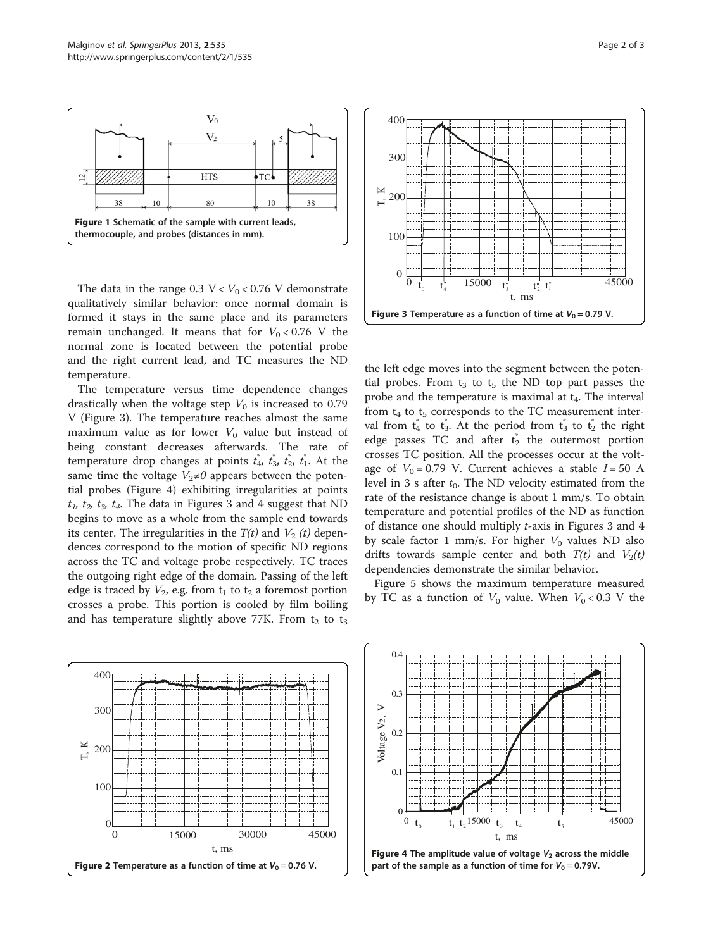<span id="page-1-0"></span>

The data in the range  $0.3 \text{ V} < V_0 < 0.76 \text{ V}$  demonstrate qualitatively similar behavior: once normal domain is formed it stays in the same place and its parameters remain unchanged. It means that for  $V_0 < 0.76$  V the normal zone is located between the potential probe and the right current lead, and TC measures the ND temperature.

The temperature versus time dependence changes drastically when the voltage step  $V_0$  is increased to 0.79 V (Figure 3). The temperature reaches almost the same maximum value as for lower  $V_0$  value but instead of being constant decreases afterwards. The rate of temperature drop changes at points  $\vec{t_4}$ ,  $\vec{t_3}$ ,  $\vec{t_2}$ ,  $\vec{t_1}$ . At the same time the voltage  $V_2\neq 0$  appears between the potential probes (Figure 4) exhibiting irregularities at points  $t_1$ ,  $t_2$ ,  $t_3$ ,  $t_4$ . The data in Figures 3 and 4 suggest that ND begins to move as a whole from the sample end towards its center. The irregularities in the  $T(t)$  and  $V_2(t)$  dependences correspond to the motion of specific ND regions across the TC and voltage probe respectively. TC traces the outgoing right edge of the domain. Passing of the left edge is traced by  $V_2$ , e.g. from  $t_1$  to  $t_2$  a foremost portion crosses a probe. This portion is cooled by film boiling and has temperature slightly above 77K. From  $t_2$  to  $t_3$ 



the left edge moves into the segment between the potential probes. From  $t_3$  to  $t_5$  the ND top part passes the probe and the temperature is maximal at  $t_4$ . The interval from  $t_4$  to  $t_5$  corresponds to the TC measurement interval from  $t_4$  to  $t_3$ . At the period from  $t_3$  to  $t_2$  the right edge passes TC and after  $t_2^*$  the outermost portion crosses TC position. All the processes occur at the voltage of  $V_0 = 0.79$  V. Current achieves a stable  $I = 50$  A level in 3 s after  $t_0$ . The ND velocity estimated from the rate of the resistance change is about 1 mm/s. To obtain temperature and potential profiles of the ND as function of distance one should multiply t-axis in Figures 3 and 4 by scale factor 1 mm/s. For higher  $V_0$  values ND also drifts towards sample center and both  $T(t)$  and  $V_2(t)$ dependencies demonstrate the similar behavior.

Figure [5](#page-2-0) shows the maximum temperature measured by TC as a function of  $V_0$  value. When  $V_0 < 0.3$  V the